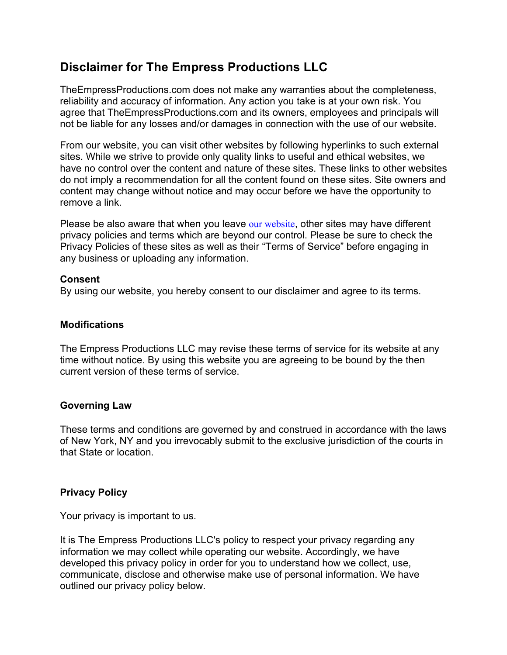# **Disclaimer for The Empress Productions LLC**

TheEmpressProductions.com does not make any warranties about the completeness, reliability and accuracy of information. Any action you take is at your own risk. You agree that TheEmpressProductions.com and its owners, employees and principals will not be liable for any losses and/or damages in connection with the use of our website.

From our website, you can visit other websites by following hyperlinks to such external sites. While we strive to provide only quality links to useful and ethical websites, we have no control over the content and nature of these sites. These links to other websites do not imply a recommendation for all the content found on these sites. Site owners and content may change without notice and may occur before we have the opportunity to remove a link.

Please be also aware that when you leave our website, other sites may have different privacy policies and terms which are beyond our control. Please be sure to check the Privacy Policies of these sites as well as their "Terms of Service" before engaging in any business or uploading any information.

### **Consent**

By using our website, you hereby consent to our disclaimer and agree to its terms.

### **Modifications**

The Empress Productions LLC may revise these terms of service for its website at any time without notice. By using this website you are agreeing to be bound by the then current version of these terms of service.

# **Governing Law**

These terms and conditions are governed by and construed in accordance with the laws of New York, NY and you irrevocably submit to the exclusive jurisdiction of the courts in that State or location.

# **Privacy Policy**

Your privacy is important to us.

It is The Empress Productions LLC's policy to respect your privacy regarding any information we may collect while operating our website. Accordingly, we have developed this privacy policy in order for you to understand how we collect, use, communicate, disclose and otherwise make use of personal information. We have outlined our privacy policy below.